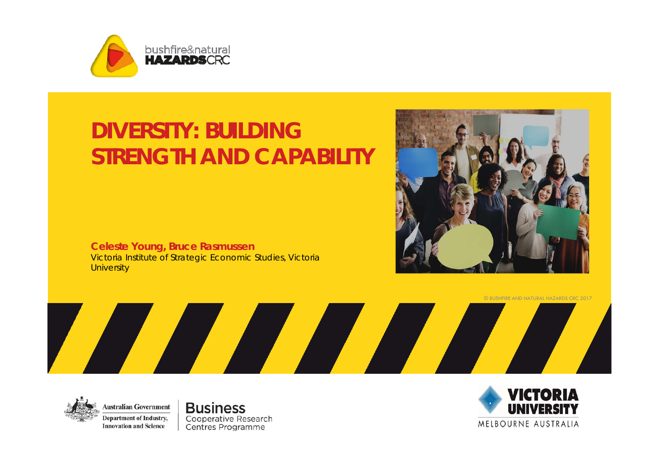

## **DIVERSITY: BUILDING STRENGTH AND CAPABILITY**

**Celeste Young, Bruce Rasmussen** Victoria Institute of Strategic Economic Studies, Victoria **University** 



© BUSHFIRE AND NATURAL HAZARDS CRC 2017



**Business** Cooperative Research Centres Programme

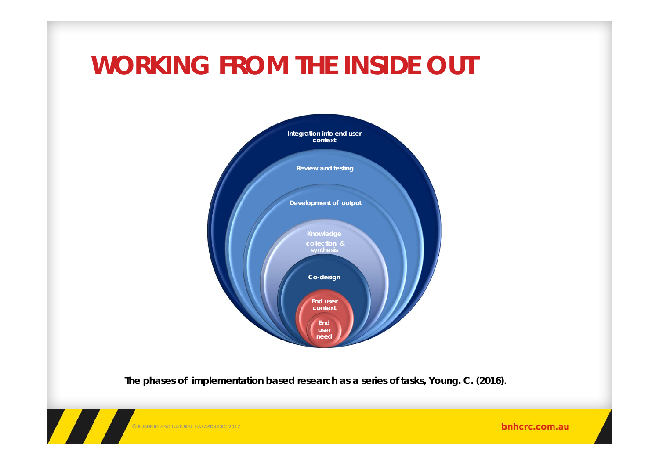# **WORKING FROM THE INSIDE OUT**



**The phases of implementation based research as a series of tasks, Young. C. (2016).** 

© BUSHFIRE AND NATURAL HAZARDS CRC 2017

 $\boldsymbol{\mathcal{L}}$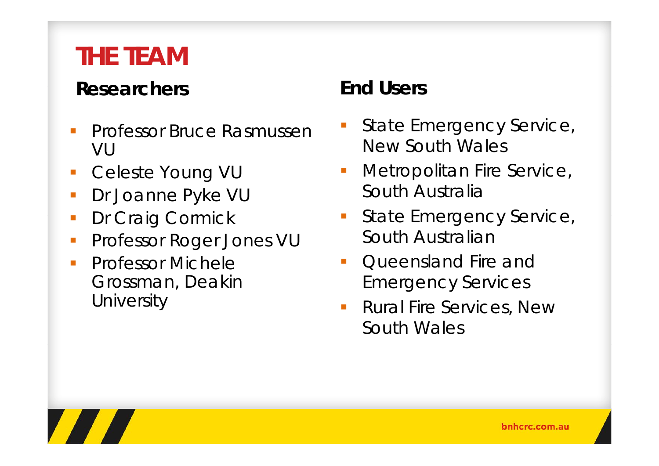# **THE TEAM**

### **Researchers**

- Professor Bruce Rasmussen VU
- T. Celeste Young VU
- $\mathbb{R}^3$ Dr Joanne Pyke VU
- F Dr Craig Cormick
- F Professor Roger Jones VU
- $\blacksquare$  Professor Michele Grossman, Deakin **University**

### **End Users**

- State Emergency Service, New South Wales
- **Netropolitan Fire Service,** South Australia
- $\overline{\mathbb{R}}$  State Emergency Service, South Australian
- $\blacksquare$  Queensland Fire and Emergency Services
- F Rural Fire Services, New South Wales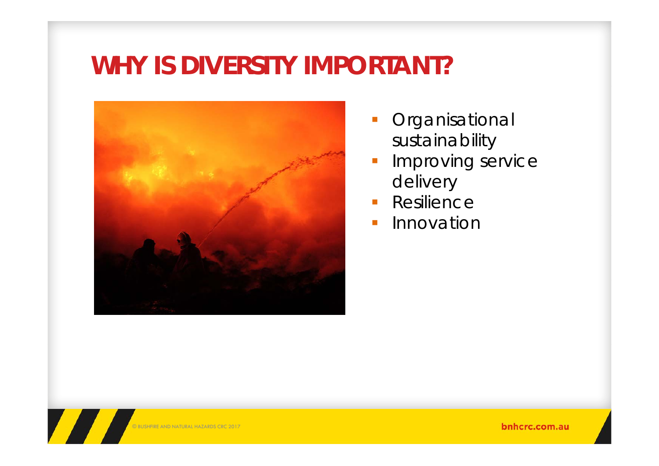## **WHY IS DIVERSITY IMPORTANT?**



- $\blacksquare$  Organisational sustainability
- $\overline{\phantom{a}}$  Improving service delivery
- $\overline{\mathbb{R}}$ **Resilience**
- $\overline{\phantom{0}}$ Innovation

© BUSHFIRE AND NATURAL HAZARDS CRC 2017

 $\sqrt{2}$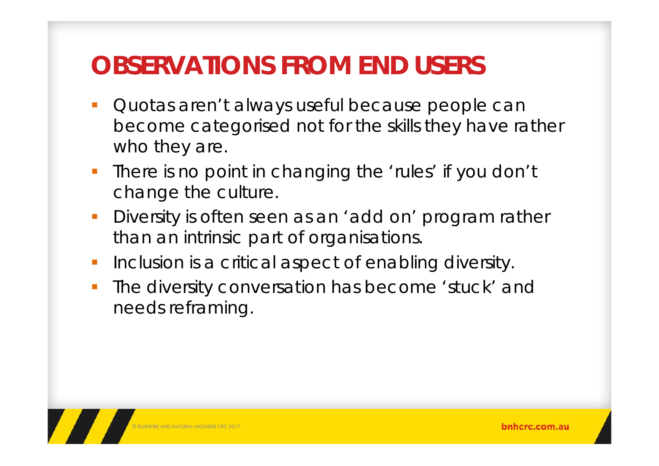# **OBSERVATIONS FROM END USERS**

- Quotas aren't always useful because people can become categorised not for the skills they have rather who they are.
- $\mathcal{L}_{\mathcal{A}}$  There is no point in changing the 'rules' if you don't change the culture.
- $\Box$  Diversity is often seen as an 'add on' program rather than an intrinsic part of organisations.
- eri<br>Vite Inclusion is a critical aspect of enabling diversity.
- $\mathbb{R}^n$  The diversity conversation has become 'stuck' and needs reframing.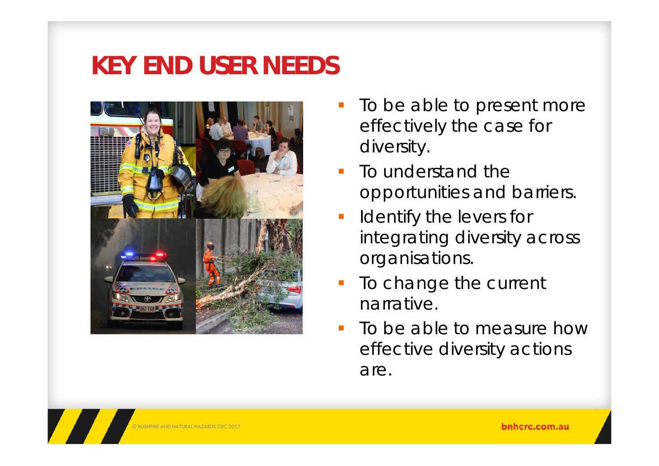# **KEY END USER NEEDS**



- To be able to present more effectively the case for diversity.
- To understand the opportunities and barriers.
- Identify the levers for integrating diversity across organisations.
- $\mathcal{L}_{\mathcal{A}}$  To change the current narrative.
- $\overline{\mathbb{R}^2}$  To be able to measure how effective diversity actions are.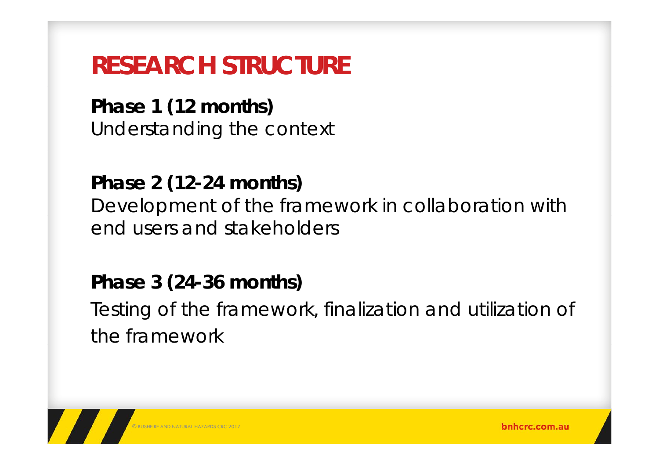# **RESEARCH STRUCTURE**

**Phase 1 (12 months)** Understanding the context

**Phase 2 (12-24 months)** 

Development of the framework in collaboration with end users and stakeholders

### **Phase 3 (24-36 months)**

Testing of the framework, finalization and utilization of the framework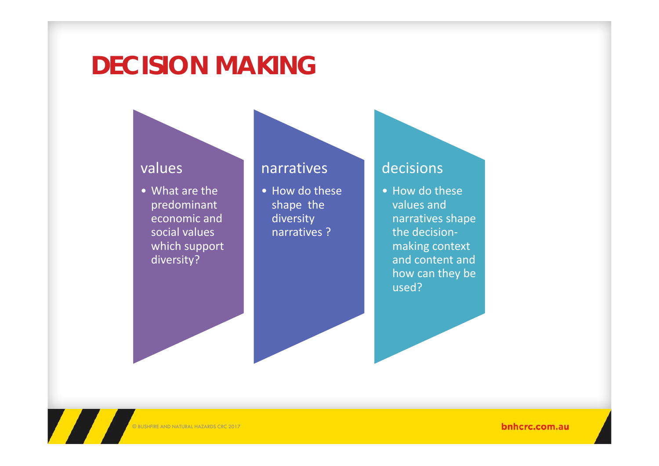## **DECISION MAKING**

#### values

• What are the predominant economic andsocial values which support diversity?

#### narratives

• How do these shape the diversity narratives ?

#### decisions

• How do these values and narratives shape the decision‐ making context and content and how can they be used?

© BUSHFIRE AND NATURAL HAZARDS CRC 2017

**TTT**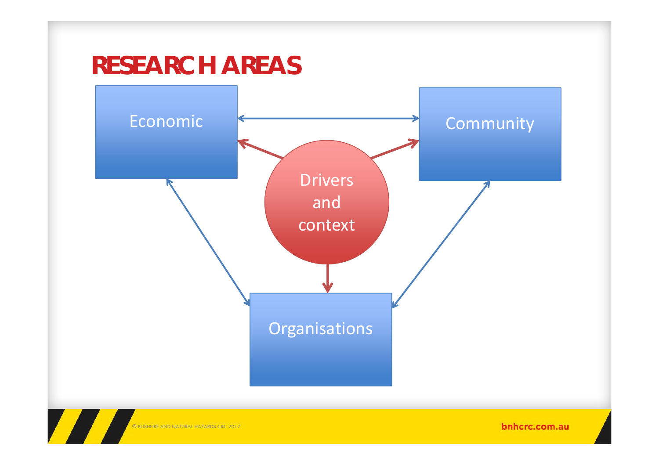

© BUSHFIRE AND NATURAL HAZARDS CRC 2017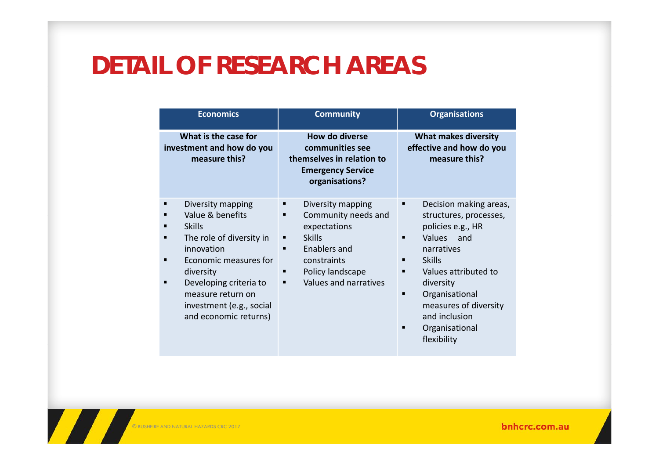# **DETAIL OF RESEARCH AREAS**

| <b>Economics</b>                                                                                                                                                                                                                                | <b>Community</b>                                                                                                                                                                    | <b>Organisations</b>                                                                                                                                                                                                                                                     |
|-------------------------------------------------------------------------------------------------------------------------------------------------------------------------------------------------------------------------------------------------|-------------------------------------------------------------------------------------------------------------------------------------------------------------------------------------|--------------------------------------------------------------------------------------------------------------------------------------------------------------------------------------------------------------------------------------------------------------------------|
| What is the case for<br>investment and how do you<br>measure this?                                                                                                                                                                              | How do diverse<br>communities see<br>themselves in relation to<br><b>Emergency Service</b><br>organisations?                                                                        | <b>What makes diversity</b><br>effective and how do you<br>measure this?                                                                                                                                                                                                 |
| Diversity mapping<br>Value & benefits<br>п<br><b>Skills</b><br>The role of diversity in<br>innovation<br>Economic measures for<br>diversity<br>Developing criteria to<br>measure return on<br>investment (e.g., social<br>and economic returns) | Diversity mapping<br>п<br>Community needs and<br>п<br>expectations<br><b>Skills</b><br>п<br>Enablers and<br>п<br>constraints<br>Policy landscape<br>п<br>Values and narratives<br>п | Decision making areas,<br>п<br>structures, processes,<br>policies e.g., HR<br>Values and<br>п<br>narratives<br><b>Skills</b><br>Values attributed to<br>п<br>diversity<br>Organisational<br>п<br>measures of diversity<br>and inclusion<br>Organisational<br>flexibility |

 $\sqrt{1}$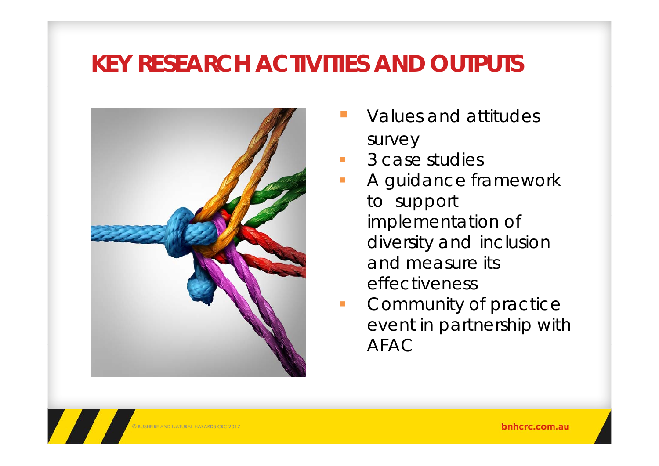## **KEY RESEARCH ACTIVITIES AND OUTPUTS**



- Values and attitudes survey
- $\overline{\phantom{a}}$ 3 case studies
- $\blacksquare$  A guidance framework to support implementation of diversity and inclusion and measure its effectiveness
- $\mathbb{R}^n$  Community of practice event in partnership with AFAC